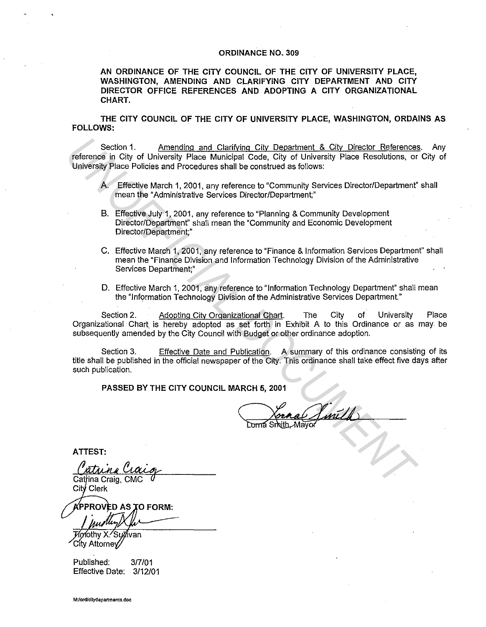## **ORDINANCE NO. 309**

**AN ORDINANCE OF THE CITY COUNCIL OF THE CITY OF UNIVERSITY PLACE, WASHINGTON, AMENDING AND CLARIFYING CITY DEPARTMENT AND CITY DIRECTOR OFFICE REFERENCES AND ADOPTING A CITY ORGANIZATIONAL CHART.** 

**THE CITY COUNCIL OF THE CITY OF UNIVERSITY PLACE, WASHINGTON, ORDAINS AS FOLLOWS:** 

Section 1. Amending and Clarifying City Department & City Director References. Any reference in City of University Place Municipal Code, City of University Place Resolutions, or City of University Place Policies and Procedures shall be construed as follows: Section 1. Amending and Clarifying City Department & City, Director Enferences<br> **University Place Policies and Procedures shall be construed as follows:**<br>
University Place Resolutions, or<br>
University Place Reflective March

- A. Effective March 1, 2001, any reference to "Community Services Director/Department" shall mean the "Administrative Services Director/Department;"
- 8. Effective July 1, 2001, any reference to "Planning & Community Development Director/Department" shall mean the "Community and Economic Development Director/Department;"
- C. Effective March 1, 2001, any reference to "Finance & Information Services Department" shall mean the "Finance Division and Information Technology Division of the Administrative Services Department;"
- **D.** Effective March 1, 2001, any reference to "Information Technology Department" shall mean the "Information Technology Division of the Administrative Services Department."

Section 2. Adopting City Organizational Chart. The City of University Organizational Chart. is hereby adopted as set forth in Exhibit A to this Ordinance or as may. be subsequently amended by the City Council with Budget or other ordinance adoption. Place

Section 3. Effective Date and Publication. A summary of this ordinance consisting of its title shall be published in the official newspaper of the City. This ordinance shall take effect five days after such publication.

**PASSED BY THE CITY COUNCIL MARCH 5, 2001** 

**ATTEST:** 

**D AS TO FORM:** 

∕nthv X ็เพ็บลก City Attorney

Published: 317/01 Effective Date: 3/12/01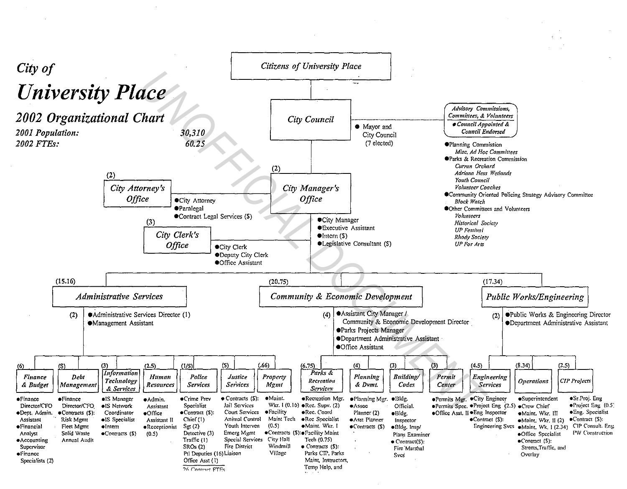